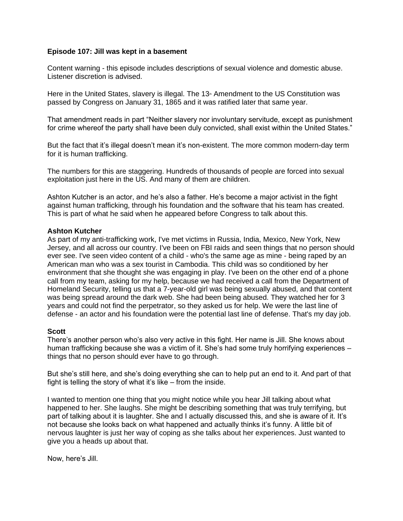#### **Episode 107: Jill was kept in a basement**

Content warning - this episode includes descriptions of sexual violence and domestic abuse. Listener discretion is advised.

Here in the United States, slavery is illegal. The 13<sup>th</sup> Amendment to the US Constitution was passed by Congress on January 31, 1865 and it was ratified later that same year.

That amendment reads in part "Neither slavery nor involuntary servitude, except as punishment for crime whereof the party shall have been duly convicted, shall exist within the United States."

But the fact that it's illegal doesn't mean it's non-existent. The more common modern-day term for it is human trafficking.

The numbers for this are staggering. Hundreds of thousands of people are forced into sexual exploitation just here in the US. And many of them are children.

Ashton Kutcher is an actor, and he's also a father. He's become a major activist in the fight against human trafficking, through his foundation and the software that his team has created. This is part of what he said when he appeared before Congress to talk about this.

#### **Ashton Kutcher**

As part of my anti-trafficking work, I've met victims in Russia, India, Mexico, New York, New Jersey, and all across our country. I've been on FBI raids and seen things that no person should ever see. I've seen video content of a child - who's the same age as mine - being raped by an American man who was a sex tourist in Cambodia. This child was so conditioned by her environment that she thought she was engaging in play. I've been on the other end of a phone call from my team, asking for my help, because we had received a call from the Department of Homeland Security, telling us that a 7-year-old girl was being sexually abused, and that content was being spread around the dark web. She had been being abused. They watched her for 3 years and could not find the perpetrator, so they asked us for help. We were the last line of defense - an actor and his foundation were the potential last line of defense. That's my day job.

#### **Scott**

There's another person who's also very active in this fight. Her name is Jill. She knows about human trafficking because she was a victim of it. She's had some truly horrifying experiences – things that no person should ever have to go through.

But she's still here, and she's doing everything she can to help put an end to it. And part of that fight is telling the story of what it's like – from the inside.

I wanted to mention one thing that you might notice while you hear Jill talking about what happened to her. She laughs. She might be describing something that was truly terrifying, but part of talking about it is laughter. She and I actually discussed this, and she is aware of it. It's not because she looks back on what happened and actually thinks it's funny. A little bit of nervous laughter is just her way of coping as she talks about her experiences. Just wanted to give you a heads up about that.

Now, here's Jill.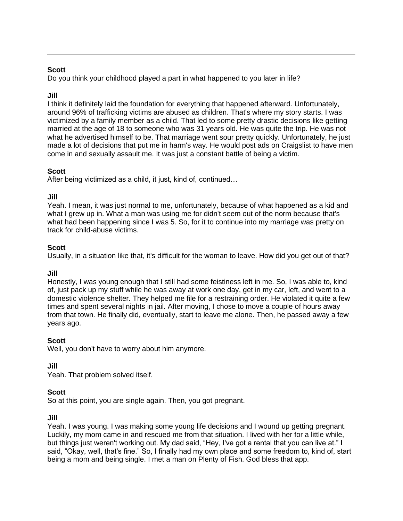Do you think your childhood played a part in what happened to you later in life?

# **Jill**

I think it definitely laid the foundation for everything that happened afterward. Unfortunately, around 96% of trafficking victims are abused as children. That's where my story starts. I was victimized by a family member as a child. That led to some pretty drastic decisions like getting married at the age of 18 to someone who was 31 years old. He was quite the trip. He was not what he advertised himself to be. That marriage went sour pretty quickly. Unfortunately, he just made a lot of decisions that put me in harm's way. He would post ads on Craigslist to have men come in and sexually assault me. It was just a constant battle of being a victim.

## **Scott**

After being victimized as a child, it just, kind of, continued…

## **Jill**

Yeah. I mean, it was just normal to me, unfortunately, because of what happened as a kid and what I grew up in. What a man was using me for didn't seem out of the norm because that's what had been happening since I was 5. So, for it to continue into my marriage was pretty on track for child-abuse victims.

## **Scott**

Usually, in a situation like that, it's difficult for the woman to leave. How did you get out of that?

## **Jill**

Honestly, I was young enough that I still had some feistiness left in me. So, I was able to, kind of, just pack up my stuff while he was away at work one day, get in my car, left, and went to a domestic violence shelter. They helped me file for a restraining order. He violated it quite a few times and spent several nights in jail. After moving, I chose to move a couple of hours away from that town. He finally did, eventually, start to leave me alone. Then, he passed away a few years ago.

## **Scott**

Well, you don't have to worry about him anymore.

## **Jill**

Yeah. That problem solved itself.

## **Scott**

So at this point, you are single again. Then, you got pregnant.

## **Jill**

Yeah. I was young. I was making some young life decisions and I wound up getting pregnant. Luckily, my mom came in and rescued me from that situation. I lived with her for a little while, but things just weren't working out. My dad said, "Hey, I've got a rental that you can live at." I said, "Okay, well, that's fine." So, I finally had my own place and some freedom to, kind of, start being a mom and being single. I met a man on Plenty of Fish. God bless that app.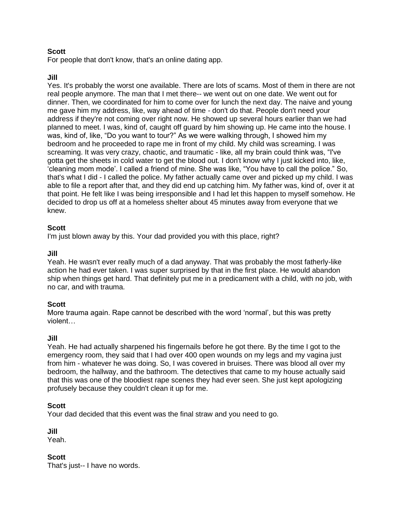For people that don't know, that's an online dating app.

#### **Jill**

Yes. It's probably the worst one available. There are lots of scams. Most of them in there are not real people anymore. The man that I met there-- we went out on one date. We went out for dinner. Then, we coordinated for him to come over for lunch the next day. The naive and young me gave him my address, like, way ahead of time - don't do that. People don't need your address if they're not coming over right now. He showed up several hours earlier than we had planned to meet. I was, kind of, caught off guard by him showing up. He came into the house. I was, kind of, like, "Do you want to tour?" As we were walking through, I showed him my bedroom and he proceeded to rape me in front of my child. My child was screaming. I was screaming. It was very crazy, chaotic, and traumatic - like, all my brain could think was, "I've gotta get the sheets in cold water to get the blood out. I don't know why I just kicked into, like, 'cleaning mom mode'. I called a friend of mine. She was like, "You have to call the police." So, that's what I did - I called the police. My father actually came over and picked up my child. I was able to file a report after that, and they did end up catching him. My father was, kind of, over it at that point. He felt like I was being irresponsible and I had let this happen to myself somehow. He decided to drop us off at a homeless shelter about 45 minutes away from everyone that we knew.

#### **Scott**

I'm just blown away by this. Your dad provided you with this place, right?

#### **Jill**

Yeah. He wasn't ever really much of a dad anyway. That was probably the most fatherly-like action he had ever taken. I was super surprised by that in the first place. He would abandon ship when things get hard. That definitely put me in a predicament with a child, with no job, with no car, and with trauma.

#### **Scott**

More trauma again. Rape cannot be described with the word 'normal', but this was pretty violent…

#### **Jill**

Yeah. He had actually sharpened his fingernails before he got there. By the time I got to the emergency room, they said that I had over 400 open wounds on my legs and my vagina just from him - whatever he was doing. So, I was covered in bruises. There was blood all over my bedroom, the hallway, and the bathroom. The detectives that came to my house actually said that this was one of the bloodiest rape scenes they had ever seen. She just kept apologizing profusely because they couldn't clean it up for me.

#### **Scott**

Your dad decided that this event was the final straw and you need to go.

**Jill**

Yeah.

#### **Scott**

That's just-- I have no words.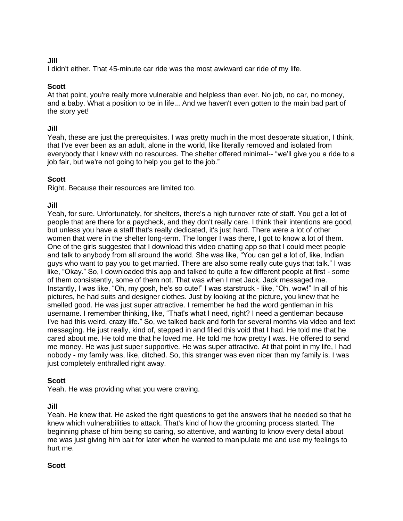# **Jill**

I didn't either. That 45-minute car ride was the most awkward car ride of my life.

# **Scott**

At that point, you're really more vulnerable and helpless than ever. No job, no car, no money, and a baby. What a position to be in life... And we haven't even gotten to the main bad part of the story yet!

## **Jill**

Yeah, these are just the prerequisites. I was pretty much in the most desperate situation, I think, that I've ever been as an adult, alone in the world, like literally removed and isolated from everybody that I knew with no resources. The shelter offered minimal-- "we'll give you a ride to a job fair, but we're not going to help you get to the job."

## **Scott**

Right. Because their resources are limited too.

# **Jill**

Yeah, for sure. Unfortunately, for shelters, there's a high turnover rate of staff. You get a lot of people that are there for a paycheck, and they don't really care. I think their intentions are good, but unless you have a staff that's really dedicated, it's just hard. There were a lot of other women that were in the shelter long-term. The longer I was there, I got to know a lot of them. One of the girls suggested that I download this video chatting app so that I could meet people and talk to anybody from all around the world. She was like, "You can get a lot of, like, Indian guys who want to pay you to get married. There are also some really cute guys that talk." I was like, "Okay." So, I downloaded this app and talked to quite a few different people at first - some of them consistently, some of them not. That was when I met Jack. Jack messaged me. Instantly, I was like, "Oh, my gosh, he's so cute!" I was starstruck - like, "Oh, wow!" In all of his pictures, he had suits and designer clothes. Just by looking at the picture, you knew that he smelled good. He was just super attractive. I remember he had the word gentleman in his username. I remember thinking, like, "That's what I need, right? I need a gentleman because I've had this weird, crazy life." So, we talked back and forth for several months via video and text messaging. He just really, kind of, stepped in and filled this void that I had. He told me that he cared about me. He told me that he loved me. He told me how pretty I was. He offered to send me money. He was just super supportive. He was super attractive. At that point in my life, I had nobody - my family was, like, ditched. So, this stranger was even nicer than my family is. I was just completely enthralled right away.

# **Scott**

Yeah. He was providing what you were craving.

## **Jill**

Yeah. He knew that. He asked the right questions to get the answers that he needed so that he knew which vulnerabilities to attack. That's kind of how the grooming process started. The beginning phase of him being so caring, so attentive, and wanting to know every detail about me was just giving him bait for later when he wanted to manipulate me and use my feelings to hurt me.

## **Scott**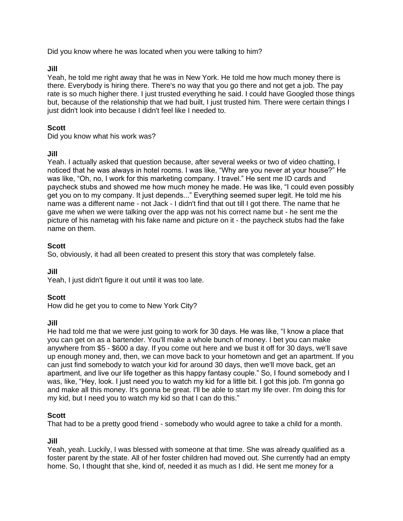Did you know where he was located when you were talking to him?

#### **Jill**

Yeah, he told me right away that he was in New York. He told me how much money there is there. Everybody is hiring there. There's no way that you go there and not get a job. The pay rate is so much higher there. I just trusted everything he said. I could have Googled those things but, because of the relationship that we had built, I just trusted him. There were certain things I just didn't look into because I didn't feel like I needed to.

## **Scott**

Did you know what his work was?

## **Jill**

Yeah. I actually asked that question because, after several weeks or two of video chatting, I noticed that he was always in hotel rooms. I was like, "Why are you never at your house?" He was like, "Oh, no, I work for this marketing company. I travel." He sent me ID cards and paycheck stubs and showed me how much money he made. He was like, "I could even possibly get you on to my company. It just depends..." Everything seemed super legit. He told me his name was a different name - not Jack - I didn't find that out till I got there. The name that he gave me when we were talking over the app was not his correct name but - he sent me the picture of his nametag with his fake name and picture on it - the paycheck stubs had the fake name on them.

## **Scott**

So, obviously, it had all been created to present this story that was completely false.

## **Jill**

Yeah, I just didn't figure it out until it was too late.

## **Scott**

How did he get you to come to New York City?

#### **Jill**

He had told me that we were just going to work for 30 days. He was like, "I know a place that you can get on as a bartender. You'll make a whole bunch of money. I bet you can make anywhere from \$5 - \$600 a day. If you come out here and we bust it off for 30 days, we'll save up enough money and, then, we can move back to your hometown and get an apartment. If you can just find somebody to watch your kid for around 30 days, then we'll move back, get an apartment, and live our life together as this happy fantasy couple." So, I found somebody and I was, like, "Hey, look. I just need you to watch my kid for a little bit. I got this job. I'm gonna go and make all this money. It's gonna be great. I'll be able to start my life over. I'm doing this for my kid, but I need you to watch my kid so that I can do this."

## **Scott**

That had to be a pretty good friend - somebody who would agree to take a child for a month.

## **Jill**

Yeah, yeah. Luckily, I was blessed with someone at that time. She was already qualified as a foster parent by the state. All of her foster children had moved out. She currently had an empty home. So, I thought that she, kind of, needed it as much as I did. He sent me money for a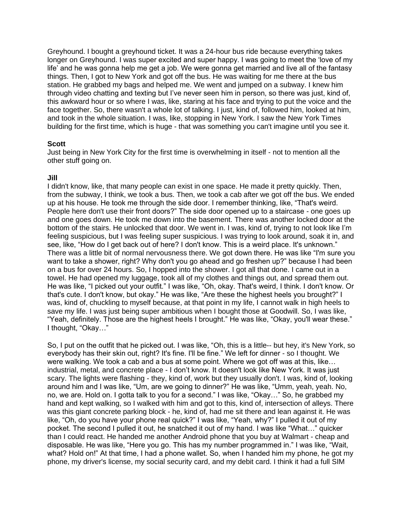Greyhound. I bought a greyhound ticket. It was a 24-hour bus ride because everything takes longer on Greyhound. I was super excited and super happy. I was going to meet the 'love of my life' and he was gonna help me get a job. We were gonna get married and live all of the fantasy things. Then, I got to New York and got off the bus. He was waiting for me there at the bus station. He grabbed my bags and helped me. We went and jumped on a subway. I knew him through video chatting and texting but I've never seen him in person, so there was just, kind of, this awkward hour or so where I was, like, staring at his face and trying to put the voice and the face together. So, there wasn't a whole lot of talking. I just, kind of, followed him, looked at him, and took in the whole situation. I was, like, stopping in New York. I saw the New York Times building for the first time, which is huge - that was something you can't imagine until you see it.

#### **Scott**

Just being in New York City for the first time is overwhelming in itself - not to mention all the other stuff going on.

#### **Jill**

I didn't know, like, that many people can exist in one space. He made it pretty quickly. Then, from the subway, I think, we took a bus. Then, we took a cab after we got off the bus. We ended up at his house. He took me through the side door. I remember thinking, like, "That's weird. People here don't use their front doors?" The side door opened up to a staircase - one goes up and one goes down. He took me down into the basement. There was another locked door at the bottom of the stairs. He unlocked that door. We went in. I was, kind of, trying to not look like I'm feeling suspicious, but I was feeling super suspicious. I was trying to look around, soak it in, and see, like, "How do I get back out of here? I don't know. This is a weird place. It's unknown." There was a little bit of normal nervousness there. We got down there. He was like "I'm sure you want to take a shower, right? Why don't you go ahead and go freshen up?" because I had been on a bus for over 24 hours. So, I hopped into the shower. I got all that done. I came out in a towel. He had opened my luggage, took all of my clothes and things out, and spread them out. He was like, "I picked out your outfit." I was like, "Oh, okay. That's weird, I think. I don't know. Or that's cute. I don't know, but okay." He was like, "Are these the highest heels you brought?" I was, kind of, chuckling to myself because, at that point in my life, I cannot walk in high heels to save my life. I was just being super ambitious when I bought those at Goodwill. So, I was like, "Yeah, definitely. Those are the highest heels I brought." He was like, "Okay, you'll wear these." I thought, "Okay…"

So, I put on the outfit that he picked out. I was like, "Oh, this is a little-- but hey, it's New York, so everybody has their skin out, right? It's fine. I'll be fine." We left for dinner - so I thought. We were walking. We took a cab and a bus at some point. Where we got off was at this, like… industrial, metal, and concrete place - I don't know. It doesn't look like New York. It was just scary. The lights were flashing - they, kind of, work but they usually don't. I was, kind of, looking around him and I was like, "Um, are we going to dinner?" He was like, "Umm, yeah, yeah. No, no, we are. Hold on. I gotta talk to you for a second." I was like, "Okay…" So, he grabbed my hand and kept walking, so I walked with him and got to this, kind of, intersection of alleys. There was this giant concrete parking block - he, kind of, had me sit there and lean against it. He was like, "Oh, do you have your phone real quick?" I was like, "Yeah, why?" I pulled it out of my pocket. The second I pulled it out, he snatched it out of my hand. I was like "What…" quicker than I could react. He handed me another Android phone that you buy at Walmart - cheap and disposable. He was like, "Here you go. This has my number programmed in." I was like, "Wait, what? Hold on!" At that time, I had a phone wallet. So, when I handed him my phone, he got my phone, my driver's license, my social security card, and my debit card. I think it had a full SIM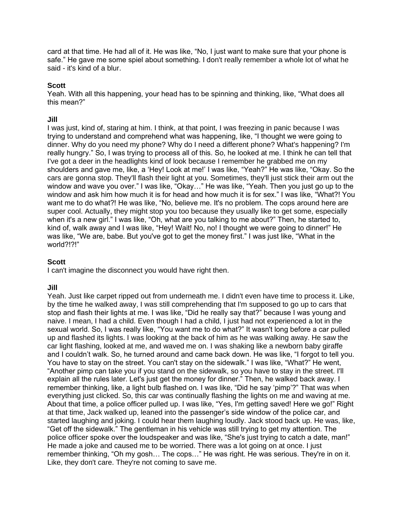card at that time. He had all of it. He was like, "No, I just want to make sure that your phone is safe." He gave me some spiel about something. I don't really remember a whole lot of what he said - it's kind of a blur.

## **Scott**

Yeah. With all this happening, your head has to be spinning and thinking, like, "What does all this mean?"

#### **Jill**

I was just, kind of, staring at him. I think, at that point, I was freezing in panic because I was trying to understand and comprehend what was happening, like, "I thought we were going to dinner. Why do you need my phone? Why do I need a different phone? What's happening? I'm really hungry." So, I was trying to process all of this. So, he looked at me. I think he can tell that I've got a deer in the headlights kind of look because I remember he grabbed me on my shoulders and gave me, like, a 'Hey! Look at me!' I was like, "Yeah?" He was like, "Okay. So the cars are gonna stop. They'll flash their light at you. Sometimes, they'll just stick their arm out the window and wave you over." I was like, "Okay…" He was like, "Yeah. Then you just go up to the window and ask him how much it is for head and how much it is for sex." I was like, "What?! You want me to do what?! He was like, "No, believe me. It's no problem. The cops around here are super cool. Actually, they might stop you too because they usually like to get some, especially when it's a new girl." I was like, "Oh, what are you talking to me about?" Then, he started to, kind of, walk away and I was like, "Hey! Wait! No, no! I thought we were going to dinner!" He was like, "We are, babe. But you've got to get the money first." I was just like, "What in the world?!?!"

#### **Scott**

I can't imagine the disconnect you would have right then.

#### **Jill**

Yeah. Just like carpet ripped out from underneath me. I didn't even have time to process it. Like, by the time he walked away, I was still comprehending that I'm supposed to go up to cars that stop and flash their lights at me. I was like, "Did he really say that?" because I was young and naive. I mean, I had a child. Even though I had a child, I just had not experienced a lot in the sexual world. So, I was really like, "You want me to do what?" It wasn't long before a car pulled up and flashed its lights. I was looking at the back of him as he was walking away. He saw the car light flashing, looked at me, and waved me on. I was shaking like a newborn baby giraffe and I couldn't walk. So, he turned around and came back down. He was like, "I forgot to tell you. You have to stay on the street. You can't stay on the sidewalk." I was like, "What?" He went, "Another pimp can take you if you stand on the sidewalk, so you have to stay in the street. I'll explain all the rules later. Let's just get the money for dinner." Then, he walked back away. I remember thinking, like, a light bulb flashed on. I was like, "Did he say 'pimp'?" That was when everything just clicked. So, this car was continually flashing the lights on me and waving at me. About that time, a police officer pulled up. I was like, "Yes, I'm getting saved! Here we go!" Right at that time, Jack walked up, leaned into the passenger's side window of the police car, and started laughing and joking. I could hear them laughing loudly. Jack stood back up. He was, like, "Get off the sidewalk." The gentleman in his vehicle was still trying to get my attention. The police officer spoke over the loudspeaker and was like, "She's just trying to catch a date, man!" He made a joke and caused me to be worried. There was a lot going on at once. I just remember thinking, "Oh my gosh… The cops…" He was right. He was serious. They're in on it. Like, they don't care. They're not coming to save me.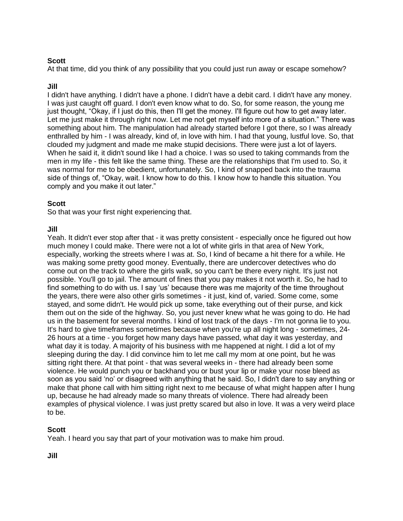At that time, did you think of any possibility that you could just run away or escape somehow?

# **Jill**

I didn't have anything. I didn't have a phone. I didn't have a debit card. I didn't have any money. I was just caught off guard. I don't even know what to do. So, for some reason, the young me just thought, "Okay, if I just do this, then I'll get the money. I'll figure out how to get away later. Let me just make it through right now. Let me not get myself into more of a situation." There was something about him. The manipulation had already started before I got there, so I was already enthralled by him - I was already, kind of, in love with him. I had that young, lustful love. So, that clouded my judgment and made me make stupid decisions. There were just a lot of layers. When he said it, it didn't sound like I had a choice. I was so used to taking commands from the men in my life - this felt like the same thing. These are the relationships that I'm used to. So, it was normal for me to be obedient, unfortunately. So, I kind of snapped back into the trauma side of things of, "Okay, wait. I know how to do this. I know how to handle this situation. You comply and you make it out later."

## **Scott**

So that was your first night experiencing that.

## **Jill**

Yeah. It didn't ever stop after that - it was pretty consistent - especially once he figured out how much money I could make. There were not a lot of white girls in that area of New York, especially, working the streets where I was at. So, I kind of became a hit there for a while. He was making some pretty good money. Eventually, there are undercover detectives who do come out on the track to where the girls walk, so you can't be there every night. It's just not possible. You'll go to jail. The amount of fines that you pay makes it not worth it. So, he had to find something to do with us. I say 'us' because there was me majority of the time throughout the years, there were also other girls sometimes - it just, kind of, varied. Some come, some stayed, and some didn't. He would pick up some, take everything out of their purse, and kick them out on the side of the highway. So, you just never knew what he was going to do. He had us in the basement for several months. I kind of lost track of the days - I'm not gonna lie to you. It's hard to give timeframes sometimes because when you're up all night long - sometimes, 24- 26 hours at a time - you forget how many days have passed, what day it was yesterday, and what day it is today. A majority of his business with me happened at night. I did a lot of my sleeping during the day. I did convince him to let me call my mom at one point, but he was sitting right there. At that point - that was several weeks in - there had already been some violence. He would punch you or backhand you or bust your lip or make your nose bleed as soon as you said 'no' or disagreed with anything that he said. So, I didn't dare to say anything or make that phone call with him sitting right next to me because of what might happen after I hung up, because he had already made so many threats of violence. There had already been examples of physical violence. I was just pretty scared but also in love. It was a very weird place to be.

# **Scott**

Yeah. I heard you say that part of your motivation was to make him proud.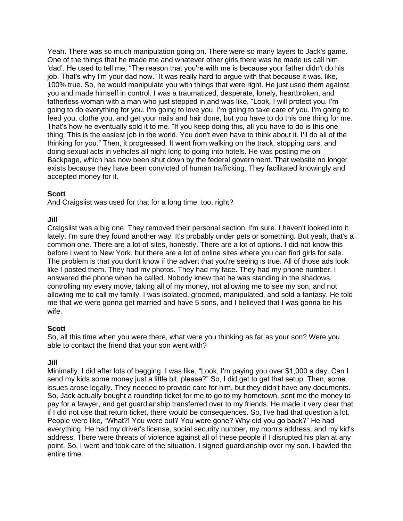Yeah. There was so much manipulation going on. There were so many layers to Jack's game. One of the things that he made me and whatever other girls there was he made us call him 'dad'. He used to tell me, "The reason that you're with me is because your father didn't do his job. That's why I'm your dad now." It was really hard to argue with that because it was, like, 100% true. So, he would manipulate you with things that were right. He just used them against you and made himself in control. I was a traumatized, desperate, lonely, heartbroken, and fatherless woman with a man who just stepped in and was like, "Look, I will protect you. I'm going to do everything for you. I'm going to love you. I'm going to take care of you. I'm going to feed you, clothe you, and get your nails and hair done, but you have to do this one thing for me. That's how he eventually sold it to me. "If you keep doing this, all you have to do is this one thing. This is the easiest job in the world. You don't even have to think about it. I'll do all of the thinking for you." Then, it progressed. It went from walking on the track, stopping cars, and doing sexual acts in vehicles all night long to going into hotels. He was posting me on Backpage, which has now been shut down by the federal government. That website no longer exists because they have been convicted of human trafficking. They facilitated knowingly and accepted money for it.

## **Scott**

And Craigslist was used for that for a long time, too, right?

## **Jill**

Craigslist was a big one. They removed their personal section, I'm sure. I haven't looked into it lately. I'm sure they found another way. It's probably under pets or something. But yeah, that's a common one. There are a lot of sites, honestly. There are a lot of options. I did not know this before I went to New York, but there are a lot of online sites where you can find girls for sale. The problem is that you don't know if the advert that you're seeing is true. All of those ads look like I posted them. They had my photos. They had my face. They had my phone number. I answered the phone when he called. Nobody knew that he was standing in the shadows, controlling my every move, taking all of my money, not allowing me to see my son, and not allowing me to call my family. I was isolated, groomed, manipulated, and sold a fantasy. He told me that we were gonna get married and have 5 sons, and I believed that I was gonna be his wife.

## **Scott**

So, all this time when you were there, what were you thinking as far as your son? Were you able to contact the friend that your son went with?

## **Jill**

Minimally. I did after lots of begging. I was like, "Look, I'm paying you over \$1,000 a day. Can I send my kids some money just a little bit, please?" So, I did get to get that setup. Then, some issues arose legally. They needed to provide care for him, but they didn't have any documents. So, Jack actually bought a roundtrip ticket for me to go to my hometown, sent me the money to pay for a lawyer, and get guardianship transferred over to my friends. He made it very clear that if I did not use that return ticket, there would be consequences. So, I've had that question a lot. People were like, "What?! You were out? You were gone? Why did you go back?" He had everything. He had my driver's license, social security number, my mom's address, and my kid's address. There were threats of violence against all of these people if I disrupted his plan at any point. So, I went and took care of the situation. I signed guardianship over my son. I bawled the entire time.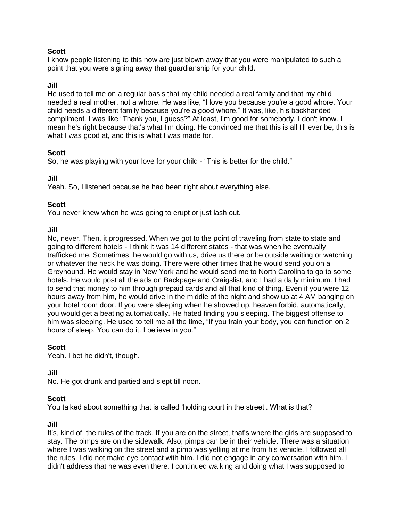I know people listening to this now are just blown away that you were manipulated to such a point that you were signing away that guardianship for your child.

#### **Jill**

He used to tell me on a regular basis that my child needed a real family and that my child needed a real mother, not a whore. He was like, "I love you because you're a good whore. Your child needs a different family because you're a good whore." It was, like, his backhanded compliment. I was like "Thank you, I guess?" At least, I'm good for somebody. I don't know. I mean he's right because that's what I'm doing. He convinced me that this is all I'll ever be, this is what I was good at, and this is what I was made for.

#### **Scott**

So, he was playing with your love for your child - "This is better for the child."

#### **Jill**

Yeah. So, I listened because he had been right about everything else.

#### **Scott**

You never knew when he was going to erupt or just lash out.

#### **Jill**

No, never. Then, it progressed. When we got to the point of traveling from state to state and going to different hotels - I think it was 14 different states - that was when he eventually trafficked me. Sometimes, he would go with us, drive us there or be outside waiting or watching or whatever the heck he was doing. There were other times that he would send you on a Greyhound. He would stay in New York and he would send me to North Carolina to go to some hotels. He would post all the ads on Backpage and Craigslist, and I had a daily minimum. I had to send that money to him through prepaid cards and all that kind of thing. Even if you were 12 hours away from him, he would drive in the middle of the night and show up at 4 AM banging on your hotel room door. If you were sleeping when he showed up, heaven forbid, automatically, you would get a beating automatically. He hated finding you sleeping. The biggest offense to him was sleeping. He used to tell me all the time, "If you train your body, you can function on 2 hours of sleep. You can do it. I believe in you."

## **Scott**

Yeah. I bet he didn't, though.

#### **Jill**

No. He got drunk and partied and slept till noon.

#### **Scott**

You talked about something that is called 'holding court in the street'. What is that?

#### **Jill**

It's, kind of, the rules of the track. If you are on the street, that's where the girls are supposed to stay. The pimps are on the sidewalk. Also, pimps can be in their vehicle. There was a situation where I was walking on the street and a pimp was yelling at me from his vehicle. I followed all the rules. I did not make eye contact with him. I did not engage in any conversation with him. I didn't address that he was even there. I continued walking and doing what I was supposed to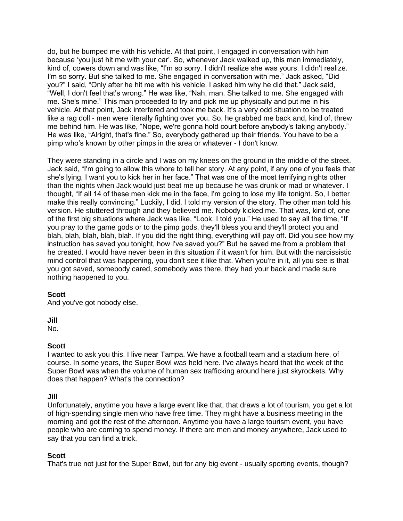do, but he bumped me with his vehicle. At that point, I engaged in conversation with him because 'you just hit me with your car'. So, whenever Jack walked up, this man immediately, kind of, cowers down and was like, "I'm so sorry. I didn't realize she was yours. I didn't realize. I'm so sorry. But she talked to me. She engaged in conversation with me." Jack asked, "Did you?" I said, "Only after he hit me with his vehicle. I asked him why he did that." Jack said, "Well, I don't feel that's wrong." He was like, "Nah, man. She talked to me. She engaged with me. She's mine." This man proceeded to try and pick me up physically and put me in his vehicle. At that point, Jack interfered and took me back. It's a very odd situation to be treated like a rag doll - men were literally fighting over you. So, he grabbed me back and, kind of, threw me behind him. He was like, "Nope, we're gonna hold court before anybody's taking anybody." He was like, "Alright, that's fine." So, everybody gathered up their friends. You have to be a pimp who's known by other pimps in the area or whatever - I don't know.

They were standing in a circle and I was on my knees on the ground in the middle of the street. Jack said, "I'm going to allow this whore to tell her story. At any point, if any one of you feels that she's lying, I want you to kick her in her face." That was one of the most terrifying nights other than the nights when Jack would just beat me up because he was drunk or mad or whatever. I thought, "If all 14 of these men kick me in the face, I'm going to lose my life tonight. So, I better make this really convincing." Luckily, I did. I told my version of the story. The other man told his version. He stuttered through and they believed me. Nobody kicked me. That was, kind of, one of the first big situations where Jack was like, "Look, I told you." He used to say all the time, "If you pray to the game gods or to the pimp gods, they'll bless you and they'll protect you and blah, blah, blah, blah, blah. If you did the right thing, everything will pay off. Did you see how my instruction has saved you tonight, how I've saved you?" But he saved me from a problem that he created. I would have never been in this situation if it wasn't for him. But with the narcissistic mind control that was happening, you don't see it like that. When you're in it, all you see is that you got saved, somebody cared, somebody was there, they had your back and made sure nothing happened to you.

## **Scott**

And you've got nobody else.

**Jill**

No.

#### **Scott**

I wanted to ask you this. I live near Tampa. We have a football team and a stadium here, of course. In some years, the Super Bowl was held here. I've always heard that the week of the Super Bowl was when the volume of human sex trafficking around here just skyrockets. Why does that happen? What's the connection?

#### **Jill**

Unfortunately, anytime you have a large event like that, that draws a lot of tourism, you get a lot of high-spending single men who have free time. They might have a business meeting in the morning and got the rest of the afternoon. Anytime you have a large tourism event, you have people who are coming to spend money. If there are men and money anywhere, Jack used to say that you can find a trick.

## **Scott**

That's true not just for the Super Bowl, but for any big event - usually sporting events, though?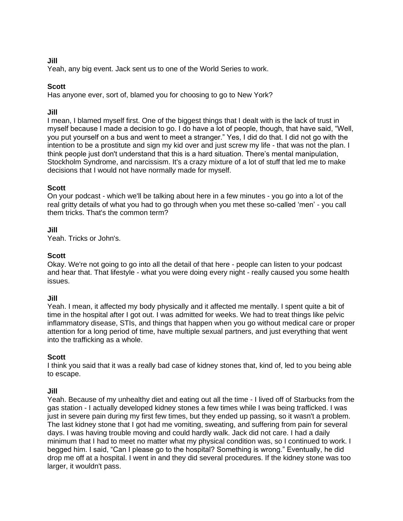# **Jill**

Yeah, any big event. Jack sent us to one of the World Series to work.

# **Scott**

Has anyone ever, sort of, blamed you for choosing to go to New York?

#### **Jill**

I mean, I blamed myself first. One of the biggest things that I dealt with is the lack of trust in myself because I made a decision to go. I do have a lot of people, though, that have said, "Well, you put yourself on a bus and went to meet a stranger." Yes, I did do that. I did not go with the intention to be a prostitute and sign my kid over and just screw my life - that was not the plan. I think people just don't understand that this is a hard situation. There's mental manipulation, Stockholm Syndrome, and narcissism. It's a crazy mixture of a lot of stuff that led me to make decisions that I would not have normally made for myself.

## **Scott**

On your podcast - which we'll be talking about here in a few minutes - you go into a lot of the real gritty details of what you had to go through when you met these so-called 'men' - you call them tricks. That's the common term?

# **Jill**

Yeah. Tricks or John's.

## **Scott**

Okay. We're not going to go into all the detail of that here - people can listen to your podcast and hear that. That lifestyle - what you were doing every night - really caused you some health issues.

#### **Jill**

Yeah. I mean, it affected my body physically and it affected me mentally. I spent quite a bit of time in the hospital after I got out. I was admitted for weeks. We had to treat things like pelvic inflammatory disease, STIs, and things that happen when you go without medical care or proper attention for a long period of time, have multiple sexual partners, and just everything that went into the trafficking as a whole.

## **Scott**

I think you said that it was a really bad case of kidney stones that, kind of, led to you being able to escape.

## **Jill**

Yeah. Because of my unhealthy diet and eating out all the time - I lived off of Starbucks from the gas station - I actually developed kidney stones a few times while I was being trafficked. I was just in severe pain during my first few times, but they ended up passing, so it wasn't a problem. The last kidney stone that I got had me vomiting, sweating, and suffering from pain for several days. I was having trouble moving and could hardly walk. Jack did not care. I had a daily minimum that I had to meet no matter what my physical condition was, so I continued to work. I begged him. I said, "Can I please go to the hospital? Something is wrong." Eventually, he did drop me off at a hospital. I went in and they did several procedures. If the kidney stone was too larger, it wouldn't pass.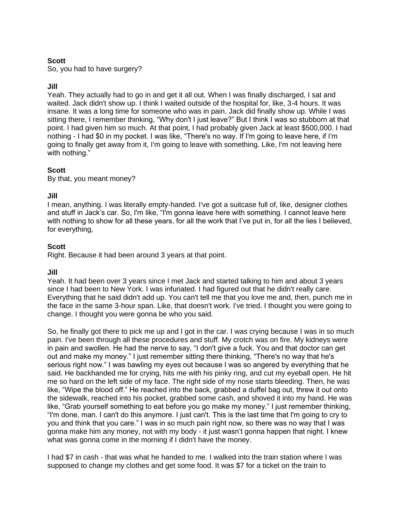So, you had to have surgery?

## **Jill**

Yeah. They actually had to go in and get it all out. When I was finally discharged, I sat and waited. Jack didn't show up. I think I waited outside of the hospital for, like, 3-4 hours. It was insane. It was a long time for someone who was in pain. Jack did finally show up. While I was sitting there, I remember thinking, "Why don't I just leave?" But I think I was so stubborn at that point. I had given him so much. At that point, I had probably given Jack at least \$500,000. I had nothing - I had \$0 in my pocket. I was like, "There's no way. If I'm going to leave here, if I'm going to finally get away from it, I'm going to leave with something. Like, I'm not leaving here with nothing."

#### **Scott**

By that, you meant money?

#### **Jill**

I mean, anything. I was literally empty-handed. I've got a suitcase full of, like, designer clothes and stuff in Jack's car. So, I'm like, "I'm gonna leave here with something. I cannot leave here with nothing to show for all these years, for all the work that I've put in, for all the lies I believed, for everything,

#### **Scott**

Right. Because it had been around 3 years at that point.

#### **Jill**

Yeah. It had been over 3 years since I met Jack and started talking to him and about 3 years since I had been to New York. I was infuriated. I had figured out that he didn't really care. Everything that he said didn't add up. You can't tell me that you love me and, then, punch me in the face in the same 3-hour span. Like, that doesn't work. I've tried. I thought you were going to change. I thought you were gonna be who you said.

So, he finally got there to pick me up and I got in the car. I was crying because I was in so much pain. I've been through all these procedures and stuff. My crotch was on fire. My kidneys were in pain and swollen. He had the nerve to say, "I don't give a fuck. You and that doctor can get out and make my money." I just remember sitting there thinking, "There's no way that he's serious right now." I was bawling my eyes out because I was so angered by everything that he said. He backhanded me for crying, hits me with his pinky ring, and cut my eyeball open. He hit me so hard on the left side of my face. The right side of my nose starts bleeding. Then, he was like, "Wipe the blood off." He reached into the back, grabbed a duffel bag out, threw it out onto the sidewalk, reached into his pocket, grabbed some cash, and shoved it into my hand. He was like, "Grab yourself something to eat before you go make my money." I just remember thinking, "I'm done, man. I can't do this anymore. I just can't. This is the last time that I'm going to cry to you and think that you care." I was in so much pain right now, so there was no way that I was gonna make him any money, not with my body - it just wasn't gonna happen that night. I knew what was gonna come in the morning if I didn't have the money.

I had \$7 in cash - that was what he handed to me. I walked into the train station where I was supposed to change my clothes and get some food. It was \$7 for a ticket on the train to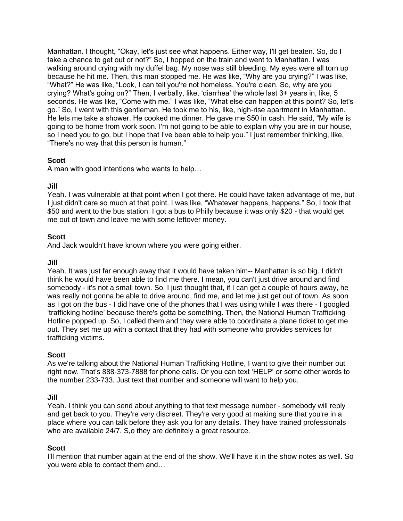Manhattan. I thought, "Okay, let's just see what happens. Either way, I'll get beaten. So, do I take a chance to get out or not?" So, I hopped on the train and went to Manhattan. I was walking around crying with my duffel bag. My nose was still bleeding. My eyes were all torn up because he hit me. Then, this man stopped me. He was like, "Why are you crying?" I was like, "What?" He was like, "Look, I can tell you're not homeless. You're clean. So, why are you crying? What's going on?" Then, I verbally, like, 'diarrhea' the whole last 3+ years in, like, 5 seconds. He was like, "Come with me." I was like, "What else can happen at this point? So, let's go." So, I went with this gentleman. He took me to his, like, high-rise apartment in Manhattan. He lets me take a shower. He cooked me dinner. He gave me \$50 in cash. He said, "My wife is going to be home from work soon. I'm not going to be able to explain why you are in our house, so I need you to go, but I hope that I've been able to help you." I just remember thinking, like, "There's no way that this person is human."

# **Scott**

A man with good intentions who wants to help…

## **Jill**

Yeah. I was vulnerable at that point when I got there. He could have taken advantage of me, but I just didn't care so much at that point. I was like, "Whatever happens, happens." So, I took that \$50 and went to the bus station. I got a bus to Philly because it was only \$20 - that would get me out of town and leave me with some leftover money.

## **Scott**

And Jack wouldn't have known where you were going either.

**Jill** 

Yeah. It was just far enough away that it would have taken him-- Manhattan is so big. I didn't think he would have been able to find me there. I mean, you can't just drive around and find somebody - it's not a small town. So, I just thought that, if I can get a couple of hours away, he was really not gonna be able to drive around, find me, and let me just get out of town. As soon as I got on the bus - I did have one of the phones that I was using while I was there - I googled 'trafficking hotline' because there's gotta be something. Then, the National Human Trafficking Hotline popped up. So, I called them and they were able to coordinate a plane ticket to get me out. They set me up with a contact that they had with someone who provides services for trafficking victims.

## **Scott**

As we're talking about the National Human Trafficking Hotline, I want to give their number out right now. That's 888-373-7888 for phone calls. Or you can text 'HELP' or some other words to the number 233-733. Just text that number and someone will want to help you.

## **Jill**

Yeah. I think you can send about anything to that text message number - somebody will reply and get back to you. They're very discreet. They're very good at making sure that you're in a place where you can talk before they ask you for any details. They have trained professionals who are available 24/7. S,o they are definitely a great resource.

## **Scott**

I'll mention that number again at the end of the show. We'll have it in the show notes as well. So you were able to contact them and…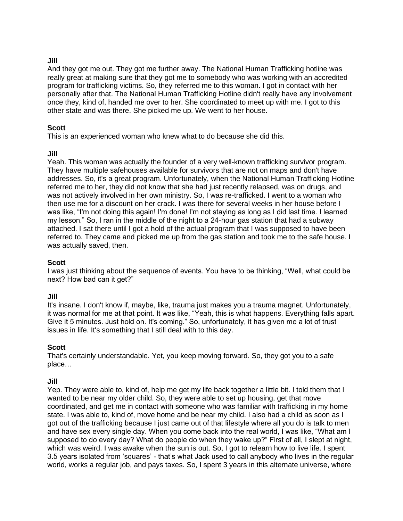#### **Jill**

And they got me out. They got me further away. The National Human Trafficking hotline was really great at making sure that they got me to somebody who was working with an accredited program for trafficking victims. So, they referred me to this woman. I got in contact with her personally after that. The National Human Trafficking Hotline didn't really have any involvement once they, kind of, handed me over to her. She coordinated to meet up with me. I got to this other state and was there. She picked me up. We went to her house.

#### **Scott**

This is an experienced woman who knew what to do because she did this.

#### **Jill**

Yeah. This woman was actually the founder of a very well-known trafficking survivor program. They have multiple safehouses available for survivors that are not on maps and don't have addresses. So, it's a great program. Unfortunately, when the National Human Trafficking Hotline referred me to her, they did not know that she had just recently relapsed, was on drugs, and was not actively involved in her own ministry. So, I was re-trafficked. I went to a woman who then use me for a discount on her crack. I was there for several weeks in her house before I was like, "I'm not doing this again! I'm done! I'm not staying as long as I did last time. I learned my lesson." So, I ran in the middle of the night to a 24-hour gas station that had a subway attached. I sat there until I got a hold of the actual program that I was supposed to have been referred to. They came and picked me up from the gas station and took me to the safe house. I was actually saved, then.

#### **Scott**

I was just thinking about the sequence of events. You have to be thinking, "Well, what could be next? How bad can it get?"

#### **Jill**

It's insane. I don't know if, maybe, like, trauma just makes you a trauma magnet. Unfortunately, it was normal for me at that point. It was like, "Yeah, this is what happens. Everything falls apart. Give it 5 minutes. Just hold on. It's coming." So, unfortunately, it has given me a lot of trust issues in life. It's something that I still deal with to this day.

## **Scott**

That's certainly understandable. Yet, you keep moving forward. So, they got you to a safe place…

#### **Jill**

Yep. They were able to, kind of, help me get my life back together a little bit. I told them that I wanted to be near my older child. So, they were able to set up housing, get that move coordinated, and get me in contact with someone who was familiar with trafficking in my home state. I was able to, kind of, move home and be near my child. I also had a child as soon as I got out of the trafficking because I just came out of that lifestyle where all you do is talk to men and have sex every single day. When you come back into the real world, I was like, "What am I supposed to do every day? What do people do when they wake up?" First of all, I slept at night, which was weird. I was awake when the sun is out. So, I got to relearn how to live life. I spent 3.5 years isolated from 'squares' - that's what Jack used to call anybody who lives in the regular world, works a regular job, and pays taxes. So, I spent 3 years in this alternate universe, where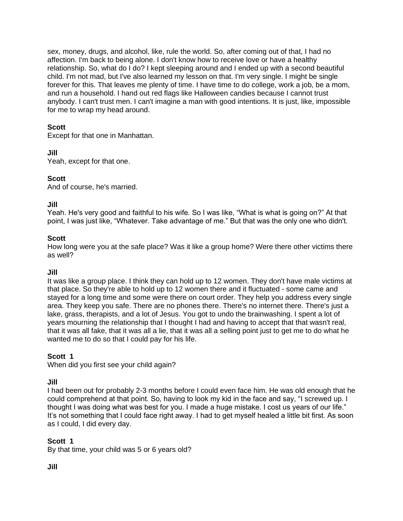sex, money, drugs, and alcohol, like, rule the world. So, after coming out of that, I had no affection. I'm back to being alone. I don't know how to receive love or have a healthy relationship. So, what do I do? I kept sleeping around and I ended up with a second beautiful child. I'm not mad, but I've also learned my lesson on that. I'm very single. I might be single forever for this. That leaves me plenty of time. I have time to do college, work a job, be a mom, and run a household. I hand out red flags like Halloween candies because I cannot trust anybody. I can't trust men. I can't imagine a man with good intentions. It is just, like, impossible for me to wrap my head around.

## **Scott**

Except for that one in Manhattan.

#### **Jill**

Yeah, except for that one.

#### **Scott**

And of course, he's married.

#### **Jill**

Yeah. He's very good and faithful to his wife. So I was like, "What is what is going on?" At that point, I was just like, "Whatever. Take advantage of me." But that was the only one who didn't.

#### **Scott**

How long were you at the safe place? Was it like a group home? Were there other victims there as well?

#### **Jill**

It was like a group place. I think they can hold up to 12 women. They don't have male victims at that place. So they're able to hold up to 12 women there and it fluctuated - some came and stayed for a long time and some were there on court order. They help you address every single area. They keep you safe. There are no phones there. There's no internet there. There's just a lake, grass, therapists, and a lot of Jesus. You got to undo the brainwashing. I spent a lot of years mourning the relationship that I thought I had and having to accept that that wasn't real, that it was all fake, that it was all a lie, that it was all a selling point just to get me to do what he wanted me to do so that I could pay for his life.

## **Scott 1**

When did you first see your child again?

#### **Jill**

I had been out for probably 2-3 months before I could even face him. He was old enough that he could comprehend at that point. So, having to look my kid in the face and say, "I screwed up. I thought I was doing what was best for you. I made a huge mistake. I cost us years of our life." It's not something that I could face right away. I had to get myself healed a little bit first. As soon as I could, I did every day.

## **Scott 1**

By that time, your child was 5 or 6 years old?

#### **Jill**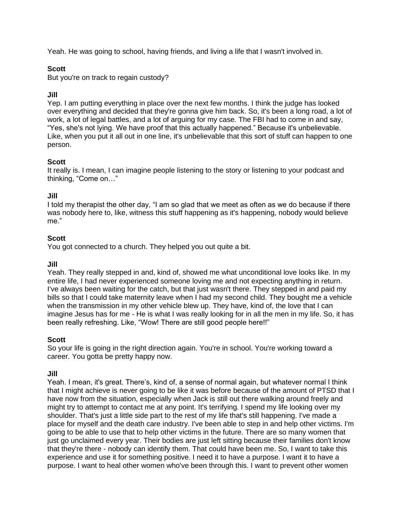Yeah. He was going to school, having friends, and living a life that I wasn't involved in.

# **Scott**

But you're on track to regain custody?

# **Jill**

Yep. I am putting everything in place over the next few months. I think the judge has looked over everything and decided that they're gonna give him back. So, it's been a long road, a lot of work, a lot of legal battles, and a lot of arguing for my case. The FBI had to come in and say, "Yes, she's not lying. We have proof that this actually happened." Because it's unbelievable. Like, when you put it all out in one line, it's unbelievable that this sort of stuff can happen to one person.

## **Scott**

It really is. I mean, I can imagine people listening to the story or listening to your podcast and thinking, "Come on…"

## **Jill**

I told my therapist the other day, "I am so glad that we meet as often as we do because if there was nobody here to, like, witness this stuff happening as it's happening, nobody would believe me."

## **Scott**

You got connected to a church. They helped you out quite a bit.

#### **Jill**

Yeah. They really stepped in and, kind of, showed me what unconditional love looks like. In my entire life, I had never experienced someone loving me and not expecting anything in return. I've always been waiting for the catch, but that just wasn't there. They stepped in and paid my bills so that I could take maternity leave when I had my second child. They bought me a vehicle when the transmission in my other vehicle blew up. They have, kind of, the love that I can imagine Jesus has for me - He is what I was really looking for in all the men in my life. So, it has been really refreshing. Like, "Wow! There are still good people here!!"

## **Scott**

So your life is going in the right direction again. You're in school. You're working toward a career. You gotta be pretty happy now.

#### **Jill**

Yeah. I mean, it's great. There's, kind of, a sense of normal again, but whatever normal I think that I might achieve is never going to be like it was before because of the amount of PTSD that I have now from the situation, especially when Jack is still out there walking around freely and might try to attempt to contact me at any point. It's terrifying. I spend my life looking over my shoulder. That's just a little side part to the rest of my life that's still happening. I've made a place for myself and the death care industry. I've been able to step in and help other victims. I'm going to be able to use that to help other victims in the future. There are so many women that just go unclaimed every year. Their bodies are just left sitting because their families don't know that they're there - nobody can identify them. That could have been me. So, I want to take this experience and use it for something positive. I need it to have a purpose. I want it to have a purpose. I want to heal other women who've been through this. I want to prevent other women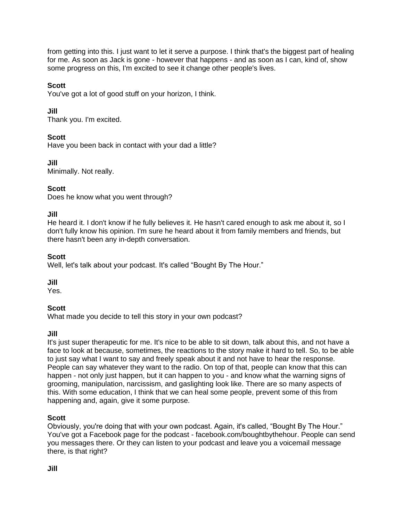from getting into this. I just want to let it serve a purpose. I think that's the biggest part of healing for me. As soon as Jack is gone - however that happens - and as soon as I can, kind of, show some progress on this, I'm excited to see it change other people's lives.

# **Scott**

You've got a lot of good stuff on your horizon, I think.

# **Jill**

Thank you. I'm excited.

# **Scott**

Have you been back in contact with your dad a little?

# **Jill**

Minimally. Not really.

# **Scott**

Does he know what you went through?

# **Jill**

He heard it. I don't know if he fully believes it. He hasn't cared enough to ask me about it, so I don't fully know his opinion. I'm sure he heard about it from family members and friends, but there hasn't been any in-depth conversation.

# **Scott**

Well, let's talk about your podcast. It's called "Bought By The Hour."

# **Jill**

Yes.

# **Scott**

What made you decide to tell this story in your own podcast?

# **Jill**

It's just super therapeutic for me. It's nice to be able to sit down, talk about this, and not have a face to look at because, sometimes, the reactions to the story make it hard to tell. So, to be able to just say what I want to say and freely speak about it and not have to hear the response. People can say whatever they want to the radio. On top of that, people can know that this can happen - not only just happen, but it can happen to you - and know what the warning signs of grooming, manipulation, narcissism, and gaslighting look like. There are so many aspects of this. With some education, I think that we can heal some people, prevent some of this from happening and, again, give it some purpose.

# **Scott**

Obviously, you're doing that with your own podcast. Again, it's called, "Bought By The Hour." You've got a Facebook page for the podcast - facebook.com/boughtbythehour. People can send you messages there. Or they can listen to your podcast and leave you a voicemail message there, is that right?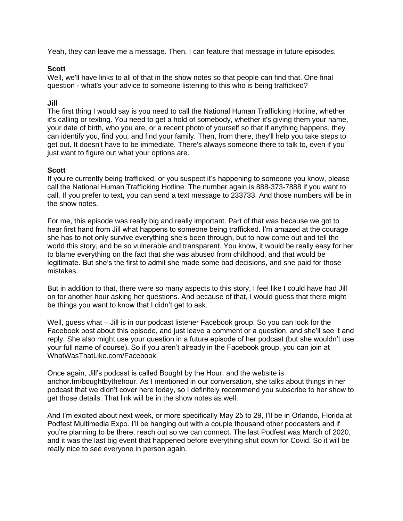Yeah, they can leave me a message. Then, I can feature that message in future episodes.

#### **Scott**

Well, we'll have links to all of that in the show notes so that people can find that. One final question - what's your advice to someone listening to this who is being trafficked?

#### **Jill**

The first thing I would say is you need to call the National Human Trafficking Hotline, whether it's calling or texting. You need to get a hold of somebody, whether it's giving them your name, your date of birth, who you are, or a recent photo of yourself so that if anything happens, they can identify you, find you, and find your family. Then, from there, they'll help you take steps to get out. It doesn't have to be immediate. There's always someone there to talk to, even if you just want to figure out what your options are.

#### **Scott**

If you're currently being trafficked, or you suspect it's happening to someone you know, please call the National Human Trafficking Hotline. The number again is 888-373-7888 if you want to call. If you prefer to text, you can send a text message to 233733. And those numbers will be in the show notes.

For me, this episode was really big and really important. Part of that was because we got to hear first hand from Jill what happens to someone being trafficked. I'm amazed at the courage she has to not only survive everything she's been through, but to now come out and tell the world this story, and be so vulnerable and transparent. You know, it would be really easy for her to blame everything on the fact that she was abused from childhood, and that would be legitimate. But she's the first to admit she made some bad decisions, and she paid for those mistakes.

But in addition to that, there were so many aspects to this story, I feel like I could have had Jill on for another hour asking her questions. And because of that, I would guess that there might be things you want to know that I didn't get to ask.

Well, guess what – Jill is in our podcast listener Facebook group. So you can look for the Facebook post about this episode, and just leave a comment or a question, and she'll see it and reply. She also might use your question in a future episode of her podcast (but she wouldn't use your full name of course). So if you aren't already in the Facebook group, you can join at WhatWasThatLike.com/Facebook.

Once again, Jill's podcast is called Bought by the Hour, and the website is anchor.fm/boughtbythehour. As I mentioned in our conversation, she talks about things in her podcast that we didn't cover here today, so I definitely recommend you subscribe to her show to get those details. That link will be in the show notes as well.

And I'm excited about next week, or more specifically May 25 to 29, I'll be in Orlando, Florida at Podfest Multimedia Expo. I'll be hanging out with a couple thousand other podcasters and if you're planning to be there, reach out so we can connect. The last Podfest was March of 2020, and it was the last big event that happened before everything shut down for Covid. So it will be really nice to see everyone in person again.